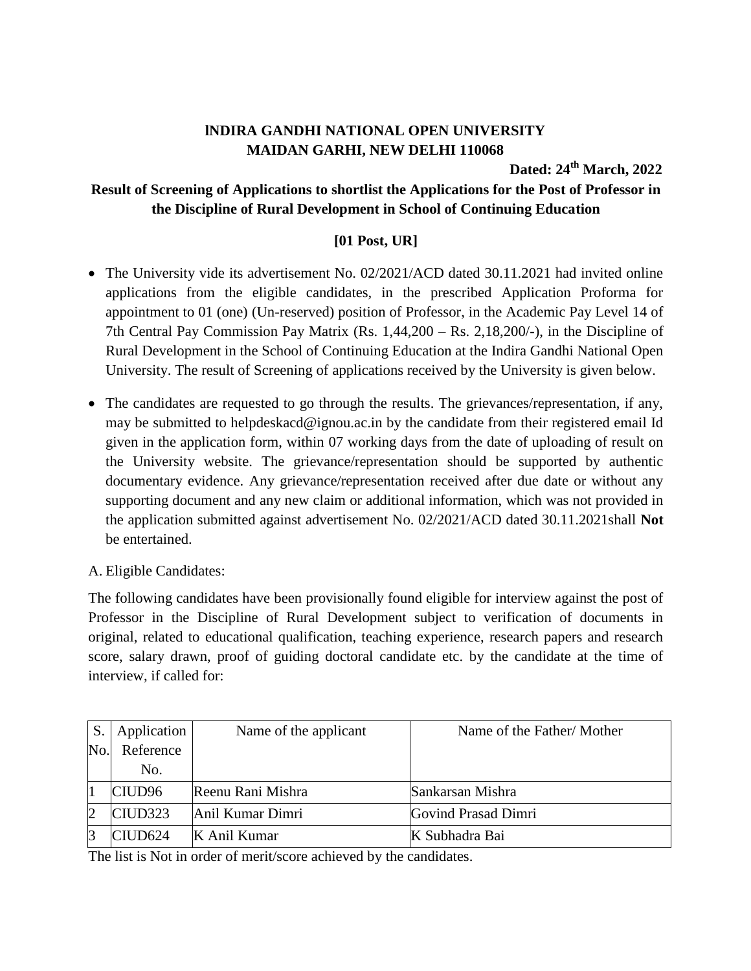## **lNDIRA GANDHI NATIONAL OPEN UNIVERSITY MAIDAN GARHI, NEW DELHI 110068**

**Dated: 24 th March, 2022**

## **Result of Screening of Applications to shortlist the Applications for the Post of Professor in the Discipline of Rural Development in School of Continuing Education**

## **[01 Post, UR]**

- The University vide its advertisement No. 02/2021/ACD dated 30.11.2021 had invited online applications from the eligible candidates, in the prescribed Application Proforma for appointment to 01 (one) (Un-reserved) position of Professor, in the Academic Pay Level 14 of 7th Central Pay Commission Pay Matrix (Rs. 1,44,200 – Rs. 2,18,200/-), in the Discipline of Rural Development in the School of Continuing Education at the Indira Gandhi National Open University. The result of Screening of applications received by the University is given below.
- The candidates are requested to go through the results. The grievances/representation, if any, may be submitted to helpdeskacd@ignou.ac.in by the candidate from their registered email Id given in the application form, within 07 working days from the date of uploading of result on the University website. The grievance/representation should be supported by authentic documentary evidence. Any grievance/representation received after due date or without any supporting document and any new claim or additional information, which was not provided in the application submitted against advertisement No. 02/2021/ACD dated 30.11.2021shall **Not** be entertained.
- A. Eligible Candidates:

The following candidates have been provisionally found eligible for interview against the post of Professor in the Discipline of Rural Development subject to verification of documents in original, related to educational qualification, teaching experience, research papers and research score, salary drawn, proof of guiding doctoral candidate etc. by the candidate at the time of interview, if called for:

| S.             | Application         | Name of the applicant | Name of the Father/Mother |
|----------------|---------------------|-----------------------|---------------------------|
| No.            | Reference           |                       |                           |
|                | No.                 |                       |                           |
|                | CIUD <sub>96</sub>  | Reenu Rani Mishra     | Sankarsan Mishra          |
| $\overline{2}$ | CIUD <sub>323</sub> | Anil Kumar Dimri      | Govind Prasad Dimri       |
| 3              | CIUD624             | K Anil Kumar          | K Subhadra Bai            |

The list is Not in order of merit/score achieved by the candidates.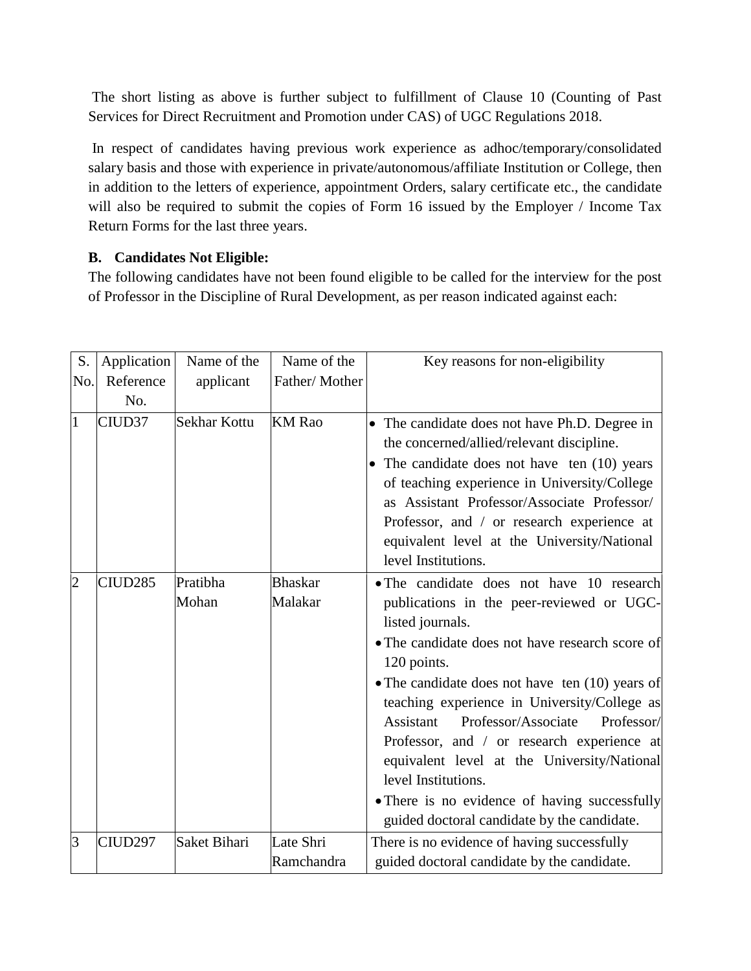The short listing as above is further subject to fulfillment of Clause 10 (Counting of Past Services for Direct Recruitment and Promotion under CAS) of UGC Regulations 2018.

In respect of candidates having previous work experience as adhoc/temporary/consolidated salary basis and those with experience in private/autonomous/affiliate Institution or College, then in addition to the letters of experience, appointment Orders, salary certificate etc., the candidate will also be required to submit the copies of Form 16 issued by the Employer / Income Tax Return Forms for the last three years.

## **B. Candidates Not Eligible:**

The following candidates have not been found eligible to be called for the interview for the post of Professor in the Discipline of Rural Development, as per reason indicated against each:

| S.             | Application         | Name of the       | Name of the               | Key reasons for non-eligibility                                                                                                                                                                                                                                                                                                                                                                                                                                                                                                                         |
|----------------|---------------------|-------------------|---------------------------|---------------------------------------------------------------------------------------------------------------------------------------------------------------------------------------------------------------------------------------------------------------------------------------------------------------------------------------------------------------------------------------------------------------------------------------------------------------------------------------------------------------------------------------------------------|
| No.            | Reference<br>No.    | applicant         | Father/Mother             |                                                                                                                                                                                                                                                                                                                                                                                                                                                                                                                                                         |
| 1              | CIUD37              | Sekhar Kottu      | <b>KM</b> Rao             | • The candidate does not have Ph.D. Degree in<br>the concerned/allied/relevant discipline.<br>• The candidate does not have ten (10) years<br>of teaching experience in University/College<br>as Assistant Professor/Associate Professor/<br>Professor, and / or research experience at<br>equivalent level at the University/National<br>level Institutions.                                                                                                                                                                                           |
| $\overline{2}$ | CIUD <sub>285</sub> | Pratibha<br>Mohan | <b>Bhaskar</b><br>Malakar | • The candidate does not have 10 research<br>publications in the peer-reviewed or UGC-<br>listed journals.<br>• The candidate does not have research score of<br>120 points.<br>• The candidate does not have ten $(10)$ years of<br>teaching experience in University/College as<br>Assistant<br>Professor/Associate<br>Professor/<br>Professor, and / or research experience at<br>equivalent level at the University/National<br>level Institutions.<br>• There is no evidence of having successfully<br>guided doctoral candidate by the candidate. |
| 3              | CIUD297             | Saket Bihari      | Late Shri<br>Ramchandra   | There is no evidence of having successfully<br>guided doctoral candidate by the candidate.                                                                                                                                                                                                                                                                                                                                                                                                                                                              |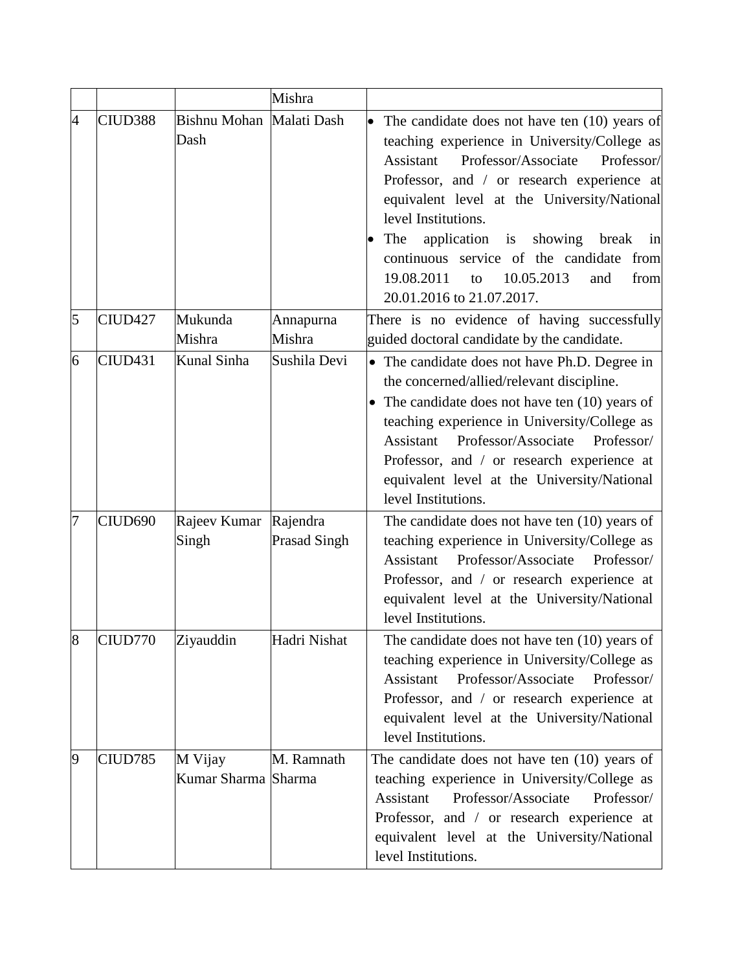|                |         |                                  | Mishra                          |                                                                                                                                                                                                                                                                                                                                                                                                                                                                  |
|----------------|---------|----------------------------------|---------------------------------|------------------------------------------------------------------------------------------------------------------------------------------------------------------------------------------------------------------------------------------------------------------------------------------------------------------------------------------------------------------------------------------------------------------------------------------------------------------|
| $\overline{4}$ | CIUD388 | Bishnu Mohan Malati Dash<br>Dash |                                 | $\bullet$<br>The candidate does not have ten (10) years of<br>teaching experience in University/College as<br>Professor/Associate<br>Professor/<br>Assistant<br>Professor, and / or research experience at<br>equivalent level at the University/National<br>level Institutions.<br>application is<br>The<br>showing<br>break<br>in<br>continuous service of the candidate<br>from<br>10.05.2013<br>19.08.2011<br>from<br>to<br>and<br>20.01.2016 to 21.07.2017. |
| 5              | CIUD427 | Mukunda<br>Mishra                | Annapurna<br>Mishra             | There is no evidence of having successfully<br>guided doctoral candidate by the candidate.                                                                                                                                                                                                                                                                                                                                                                       |
| 6              | CIUD431 | Kunal Sinha                      | Sushila Devi                    | • The candidate does not have Ph.D. Degree in<br>the concerned/allied/relevant discipline.<br>• The candidate does not have ten $(10)$ years of<br>teaching experience in University/College as<br>Professor/Associate<br>Professor/<br>Assistant<br>Professor, and / or research experience at<br>equivalent level at the University/National<br>level Institutions.                                                                                            |
| 7              | CIUD690 | Rajeev Kumar<br>Singh            | Rajendra<br><b>Prasad Singh</b> | The candidate does not have ten $(10)$ years of<br>teaching experience in University/College as<br>Assistant<br>Professor/Associate<br>Professor/<br>Professor, and / or research experience at<br>equivalent level at the University/National<br>level Institutions.                                                                                                                                                                                            |
| $8^{\circ}$    | CIUD770 | Ziyauddin                        | Hadri Nishat                    | The candidate does not have ten (10) years of<br>teaching experience in University/College as<br>Professor/Associate<br>Assistant<br>Professor/<br>Professor, and / or research experience at<br>equivalent level at the University/National<br>level Institutions.                                                                                                                                                                                              |
| $\overline{9}$ | CIUD785 | M Vijay<br>Kumar Sharma Sharma   | M. Ramnath                      | The candidate does not have ten $(10)$ years of<br>teaching experience in University/College as<br>Professor/Associate<br>Assistant<br>Professor/<br>Professor, and / or research experience at<br>equivalent level at the University/National<br>level Institutions.                                                                                                                                                                                            |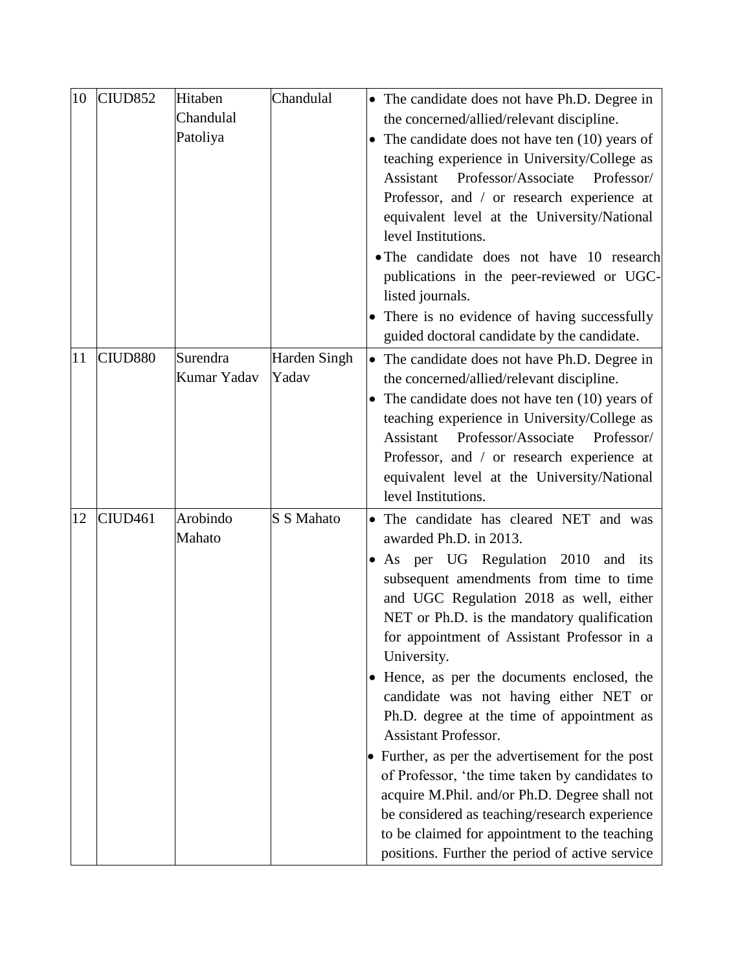| 10 | CIUD <sub>852</sub> | Hitaben     | Chandulal    |           | • The candidate does not have Ph.D. Degree in     |
|----|---------------------|-------------|--------------|-----------|---------------------------------------------------|
|    |                     | Chandulal   |              |           | the concerned/allied/relevant discipline.         |
|    |                     | Patoliya    |              | $\bullet$ | The candidate does not have ten $(10)$ years of   |
|    |                     |             |              |           | teaching experience in University/College as      |
|    |                     |             |              |           | Professor/Associate<br>Professor/<br>Assistant    |
|    |                     |             |              |           | Professor, and / or research experience at        |
|    |                     |             |              |           | equivalent level at the University/National       |
|    |                     |             |              |           | level Institutions.                               |
|    |                     |             |              |           | • The candidate does not have 10 research         |
|    |                     |             |              |           | publications in the peer-reviewed or UGC-         |
|    |                     |             |              |           | listed journals.                                  |
|    |                     |             |              |           | • There is no evidence of having successfully     |
|    |                     |             |              |           | guided doctoral candidate by the candidate.       |
| 11 | CIUD880             | Surendra    | Harden Singh |           | • The candidate does not have Ph.D. Degree in     |
|    |                     | Kumar Yadav | Yadav        |           | the concerned/allied/relevant discipline.         |
|    |                     |             |              |           | • The candidate does not have ten $(10)$ years of |
|    |                     |             |              |           | teaching experience in University/College as      |
|    |                     |             |              |           | Professor/Associate<br>Assistant<br>Professor/    |
|    |                     |             |              |           | Professor, and / or research experience at        |
|    |                     |             |              |           | equivalent level at the University/National       |
|    |                     |             |              |           | level Institutions.                               |
| 12 | CIUD <sub>461</sub> | Arobindo    | S S Mahato   |           | • The candidate has cleared NET and was           |
|    |                     | Mahato      |              |           | awarded Ph.D. in 2013.                            |
|    |                     |             |              |           | • As per UG Regulation 2010<br>and its            |
|    |                     |             |              |           | subsequent amendments from time to time           |
|    |                     |             |              |           | and UGC Regulation 2018 as well, either           |
|    |                     |             |              |           | NET or Ph.D. is the mandatory qualification       |
|    |                     |             |              |           | for appointment of Assistant Professor in a       |
|    |                     |             |              |           | University.                                       |
|    |                     |             |              |           | • Hence, as per the documents enclosed, the       |
|    |                     |             |              |           | candidate was not having either NET or            |
|    |                     |             |              |           | Ph.D. degree at the time of appointment as        |
|    |                     |             |              |           | <b>Assistant Professor.</b>                       |
|    |                     |             |              |           | • Further, as per the advertisement for the post  |
|    |                     |             |              |           | of Professor, 'the time taken by candidates to    |
|    |                     |             |              |           | acquire M.Phil. and/or Ph.D. Degree shall not     |
|    |                     |             |              |           | be considered as teaching/research experience     |
|    |                     |             |              |           | to be claimed for appointment to the teaching     |
|    |                     |             |              |           | positions. Further the period of active service   |